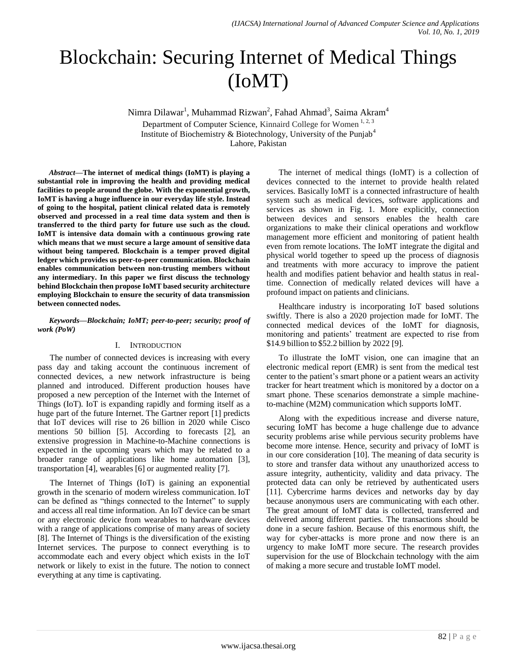# Blockchain: Securing Internet of Medical Things (IoMT)

Nimra Dilawar<sup>1</sup>, Muhammad Rizwan<sup>2</sup>, Fahad Ahmad<sup>3</sup>, Saima Akram<sup>4</sup>

Department of Computer Science, Kinnaird College for Women<sup>1, 2, 3</sup> Institute of Biochemistry & Biotechnology, University of the Punjab<sup>4</sup>

Lahore, Pakistan

*Abstract***—The internet of medical things (IoMT) is playing a substantial role in improving the health and providing medical facilities to people around the globe. With the exponential growth, IoMT is having a huge influence in our everyday life style. Instead of going to the hospital, patient clinical related data is remotely observed and processed in a real time data system and then is transferred to the third party for future use such as the cloud. IoMT is intensive data domain with a continuous growing rate which means that we must secure a large amount of sensitive data without being tampered. Blockchain is a temper proved digital ledger which provides us peer-to-peer communication. Blockchain enables communication between non-trusting members without any intermediary. In this paper we first discuss the technology behind Blockchain then propose IoMT based security architecture employing Blockchain to ensure the security of data transmission between connected nodes.**

*Keywords—Blockchain; IoMT; peer-to-peer; security; proof of work (PoW)*

## I. INTRODUCTION

The number of connected devices is increasing with every pass day and taking account the continuous increment of connected devices, a new network infrastructure is being planned and introduced. Different production houses have proposed a new perception of the Internet with the Internet of Things (IoT). IoT is expanding rapidly and forming itself as a huge part of the future Internet. The Gartner report [1] predicts that IoT devices will rise to 26 billion in 2020 while Cisco mentions 50 billion [5]. According to forecasts [2], an extensive progression in Machine-to-Machine connections is expected in the upcoming years which may be related to a broader range of applications like home automation [3], transportation [4], wearables [6] or augmented reality [7].

The Internet of Things (IoT) is gaining an exponential growth in the scenario of modern wireless communication. IoT can be defined as "things connected to the Internet" to supply and access all real time information. An IoT device can be smart or any electronic device from wearables to hardware devices with a range of applications comprise of many areas of society [8]. The Internet of Things is the diversification of the existing Internet services. The purpose to connect everything is to accommodate each and every object which exists in the IoT network or likely to exist in the future. The notion to connect everything at any time is captivating.

The internet of medical things (IoMT) is a collection of devices connected to the internet to provide health related services. Basically IoMT is a connected infrastructure of health system such as medical devices, software applications and services as shown in Fig. 1. More explicitly, connection between devices and sensors enables the health care organizations to make their clinical operations and workflow management more efficient and monitoring of patient health even from remote locations. The IoMT integrate the digital and physical world together to speed up the process of diagnosis and treatments with more accuracy to improve the patient health and modifies patient behavior and health status in realtime. Connection of medically related devices will have a profound impact on patients and clinicians.

Healthcare industry is incorporating IoT based solutions swiftly. There is also a 2020 projection made for IoMT. The connected medical devices of the IoMT for diagnosis, monitoring and patients' treatment are expected to rise from \$14.9 billion to \$52.2 billion by 2022 [9].

To illustrate the IoMT vision, one can imagine that an electronic medical report (EMR) is sent from the medical test center to the patient"s smart phone or a patient wears an activity tracker for heart treatment which is monitored by a doctor on a smart phone. These scenarios demonstrate a simple machineto-machine (M2M) communication which supports IoMT.

Along with the expeditious increase and diverse nature, securing IoMT has become a huge challenge due to advance security problems arise while pervious security problems have become more intense. Hence, security and privacy of IoMT is in our core consideration [10]. The meaning of data security is to store and transfer data without any unauthorized access to assure integrity, authenticity, validity and data privacy. The protected data can only be retrieved by authenticated users [11]. Cybercrime harms devices and networks day by day because anonymous users are communicating with each other. The great amount of IoMT data is collected, transferred and delivered among different parties. The transactions should be done in a secure fashion. Because of this enormous shift, the way for cyber-attacks is more prone and now there is an urgency to make IoMT more secure. The research provides supervision for the use of Blockchain technology with the aim of making a more secure and trustable IoMT model.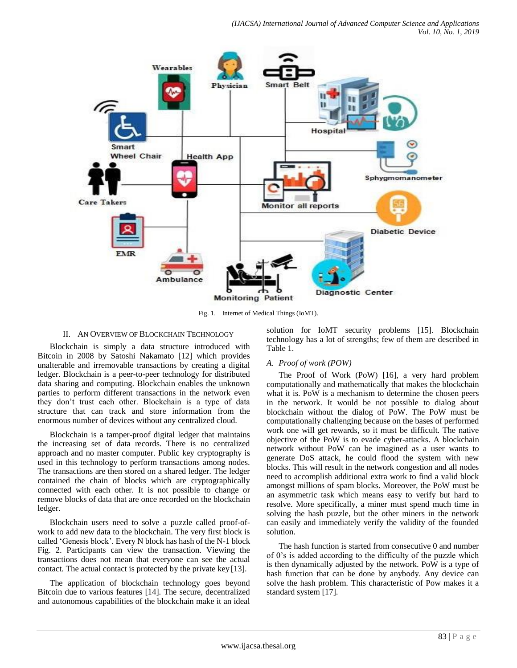

Fig. 1. Internet of Medical Things (IoMT).

# II. AN OVERVIEW OF BLOCKCHAIN TECHNOLOGY

Blockchain is simply a data structure introduced with Bitcoin in 2008 by Satoshi Nakamato [12] which provides unalterable and irremovable transactions by creating a digital ledger. Blockchain is a peer-to-peer technology for distributed data sharing and computing. Blockchain enables the unknown parties to perform different transactions in the network even they don"t trust each other. Blockchain is a type of data structure that can track and store information from the enormous number of devices without any centralized cloud.

Blockchain is a tamper-proof digital ledger that maintains the increasing set of data records. There is no centralized approach and no master computer. Public key cryptography is used in this technology to perform transactions among nodes. The transactions are then stored on a shared ledger. The ledger contained the chain of blocks which are cryptographically connected with each other. It is not possible to change or remove blocks of data that are once recorded on the blockchain ledger.

Blockchain users need to solve a puzzle called proof-ofwork to add new data to the blockchain. The very first block is called "Genesis block". Every N block has hash of the N-1 block Fig. 2. Participants can view the transaction. Viewing the transactions does not mean that everyone can see the actual contact. The actual contact is protected by the private key [13].

The application of blockchain technology goes beyond Bitcoin due to various features [14]. The secure, decentralized and autonomous capabilities of the blockchain make it an ideal solution for IoMT security problems [15]. Blockchain technology has a lot of strengths; few of them are described in Table 1.

## *A. Proof of work (POW)*

The Proof of Work (PoW) [16], a very hard problem computationally and mathematically that makes the blockchain what it is. PoW is a mechanism to determine the chosen peers in the network. It would be not possible to dialog about blockchain without the dialog of PoW. The PoW must be computationally challenging because on the bases of performed work one will get rewards, so it must be difficult. The native objective of the PoW is to evade cyber-attacks. A blockchain network without PoW can be imagined as a user wants to generate DoS attack, he could flood the system with new blocks. This will result in the network congestion and all nodes need to accomplish additional extra work to find a valid block amongst millions of spam blocks. Moreover, the PoW must be an asymmetric task which means easy to verify but hard to resolve. More specifically, a miner must spend much time in solving the hash puzzle, but the other miners in the network can easily and immediately verify the validity of the founded solution.

The hash function is started from consecutive 0 and number of 0"s is added according to the difficulty of the puzzle which is then dynamically adjusted by the network. PoW is a type of hash function that can be done by anybody. Any device can solve the hash problem. This characteristic of Pow makes it a standard system [17].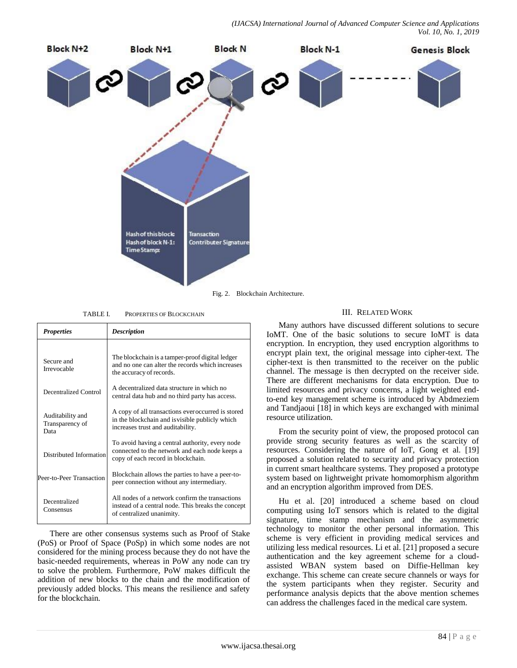*(IJACSA) International Journal of Advanced Computer Science and Applications Vol. 10, No. 1, 2019*



TABLE I. PROPERTIES OF BLOCKCHAIN

| <b>Properties</b>                           | <b>Description</b>                                                                                                                         |  |  |
|---------------------------------------------|--------------------------------------------------------------------------------------------------------------------------------------------|--|--|
|                                             |                                                                                                                                            |  |  |
| Secure and<br>Irrevocable                   | The blockchain is a tamper-proof digital ledger<br>and no one can alter the records which increases<br>the accuracy of records.            |  |  |
| Decentralized Control                       | A decentralized data structure in which no<br>central data hub and no third party has access.                                              |  |  |
| Auditability and<br>Transparency of<br>Data | A copy of all transactions ever occurred is stored<br>in the blockchain and is visible publicly which<br>increases trust and auditability. |  |  |
| Distributed Information                     | To avoid having a central authority, every node<br>connected to the network and each node keeps a<br>copy of each record in blockchain.    |  |  |
| Peer-to-Peer Transaction                    | Blockchain allows the parties to have a peer-to-<br>peer connection without any intermediary.                                              |  |  |
| Decentralized<br>Consensus                  | All nodes of a network confirm the transactions<br>instead of a central node. This breaks the concept<br>of centralized unanimity.         |  |  |

There are other consensus systems such as Proof of Stake (PoS) or Proof of Space (PoSp) in which some nodes are not considered for the mining process because they do not have the basic-needed requirements, whereas in PoW any node can try to solve the problem. Furthermore, PoW makes difficult the addition of new blocks to the chain and the modification of previously added blocks. This means the resilience and safety for the blockchain.

## III. RELATED WORK

Many authors have discussed different solutions to secure IoMT. One of the basic solutions to secure IoMT is data encryption. In encryption, they used encryption algorithms to encrypt plain text, the original message into cipher-text. The cipher-text is then transmitted to the receiver on the public channel. The message is then decrypted on the receiver side. There are different mechanisms for data encryption. Due to limited resources and privacy concerns, a light weighted endto-end key management scheme is introduced by Abdmeziem and Tandjaoui [18] in which keys are exchanged with minimal resource utilization.

From the security point of view, the proposed protocol can provide strong security features as well as the scarcity of resources. Considering the nature of IoT, Gong et al. [19] proposed a solution related to security and privacy protection in current smart healthcare systems. They proposed a prototype system based on lightweight private homomorphism algorithm and an encryption algorithm improved from DES.

Hu et al. [20] introduced a scheme based on cloud computing using IoT sensors which is related to the digital signature, time stamp mechanism and the asymmetric technology to monitor the other personal information. This scheme is very efficient in providing medical services and utilizing less medical resources. Li et al. [21] proposed a secure authentication and the key agreement scheme for a cloudassisted WBAN system based on Diffie-Hellman key exchange. This scheme can create secure channels or ways for the system participants when they register. Security and performance analysis depicts that the above mention schemes can address the challenges faced in the medical care system.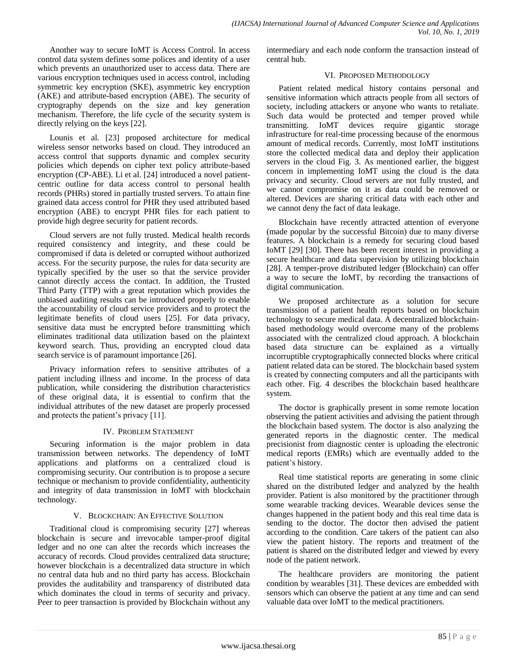Another way to secure IoMT is Access Control. In access control data system defines some polices and identity of a user which prevents an unauthorized user to access data. There are various encryption techniques used in access control, including symmetric key encryption (SKE), asymmetric key encryption (AKE) and attribute-based encryption (ABE). The security of cryptography depends on the size and key generation mechanism. Therefore, the life cycle of the security system is directly relying on the keys [22].

Lounis et al. [23] proposed architecture for medical wireless sensor networks based on cloud. They introduced an access control that supports dynamic and complex security policies which depends on cipher text policy attribute-based encryption (CP-ABE). Li et al. [24] introduced a novel patientcentric outline for data access control to personal health records (PHRs) stored in partially trusted servers. To attain fine grained data access control for PHR they used attributed based encryption (ABE) to encrypt PHR files for each patient to provide high degree security for patient records.

Cloud servers are not fully trusted. Medical health records required consistency and integrity, and these could be compromised if data is deleted or corrupted without authorized access. For the security purpose, the rules for data security are typically specified by the user so that the service provider cannot directly access the contact. In addition, the Trusted Third Party (TTP) with a great reputation which provides the unbiased auditing results can be introduced properly to enable the accountability of cloud service providers and to protect the legitimate benefits of cloud users [25]. For data privacy, sensitive data must be encrypted before transmitting which eliminates traditional data utilization based on the plaintext keyword search. Thus, providing an encrypted cloud data search service is of paramount importance [26].

Privacy information refers to sensitive attributes of a patient including illness and income. In the process of data publication, while considering the distribution characteristics of these original data, it is essential to confirm that the individual attributes of the new dataset are properly processed and protects the patient's privacy [11].

# IV. PROBLEM STATEMENT

Securing information is the major problem in data transmission between networks. The dependency of IoMT applications and platforms on a centralized cloud is compromising security. Our contribution is to propose a secure technique or mechanism to provide confidentiality, authenticity and integrity of data transmission in IoMT with blockchain technology.

## V. BLOCKCHAIN: AN EFFECTIVE SOLUTION

Traditional cloud is compromising security [27] whereas blockchain is secure and irrevocable tamper-proof digital ledger and no one can alter the records which increases the accuracy of records. Cloud provides centralized data structure; however blockchain is a decentralized data structure in which no central data hub and no third party has access. Blockchain provides the auditability and transparency of distributed data which dominates the cloud in terms of security and privacy. Peer to peer transaction is provided by Blockchain without any intermediary and each node conform the transaction instead of central hub.

# VI. PROPOSED METHODOLOGY

Patient related medical history contains personal and sensitive information which attracts people from all sectors of society, including attackers or anyone who wants to retaliate. Such data would be protected and temper proved while transmitting. IoMT devices require gigantic storage infrastructure for real-time processing because of the enormous amount of medical records. Currently, most IoMT institutions store the collected medical data and deploy their application servers in the cloud Fig. 3. As mentioned earlier, the biggest concern in implementing IoMT using the cloud is the data privacy and security. Cloud servers are not fully trusted, and we cannot compromise on it as data could be removed or altered. Devices are sharing critical data with each other and we cannot deny the fact of data leakage.

Blockchain have recently attracted attention of everyone (made popular by the successful Bitcoin) due to many diverse features. A blockchain is a remedy for securing cloud based IoMT [29] [30]. There has been recent interest in providing a secure healthcare and data supervision by utilizing blockchain [28]. A temper-prove distributed ledger (Blockchain) can offer a way to secure the IoMT, by recording the transactions of digital communication.

We proposed architecture as a solution for secure transmission of a patient health reports based on blockchain technology to secure medical data. A decentralized blockchainbased methodology would overcome many of the problems associated with the centralized cloud approach. A blockchain based data structure can be explained as a virtually incorruptible cryptographically connected blocks where critical patient related data can be stored. The blockchain based system is created by connecting computers and all the participants with each other. Fig. 4 describes the blockchain based healthcare system.

The doctor is graphically present in some remote location observing the patient activities and advising the patient through the blockchain based system. The doctor is also analyzing the generated reports in the diagnostic center. The medical precisionist from diagnostic center is uploading the electronic medical reports (EMRs) which are eventually added to the patient's history.

Real time statistical reports are generating in some clinic shared on the distributed ledger and analyzed by the health provider. Patient is also monitored by the practitioner through some wearable tracking devices. Wearable devices sense the changes happened in the patient body and this real time data is sending to the doctor. The doctor then advised the patient according to the condition. Care takers of the patient can also view the patient history. The reports and treatment of the patient is shared on the distributed ledger and viewed by every node of the patient network.

The healthcare providers are monitoring the patient condition by wearables [31]. These devices are embedded with sensors which can observe the patient at any time and can send valuable data over IoMT to the medical practitioners.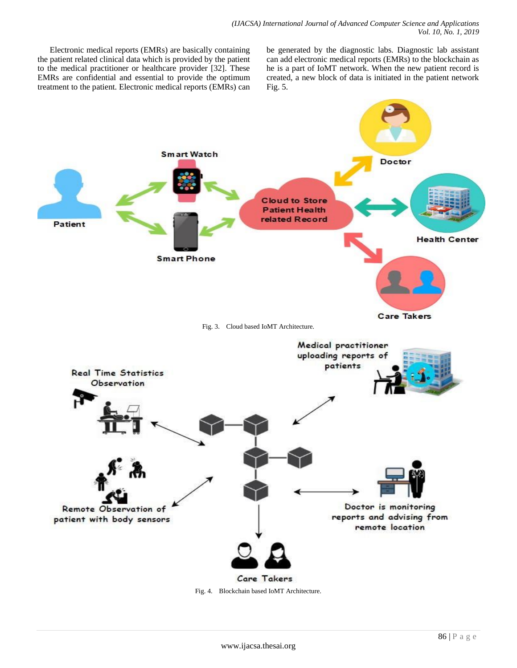Electronic medical reports (EMRs) are basically containing the patient related clinical data which is provided by the patient to the medical practitioner or healthcare provider [32]. These EMRs are confidential and essential to provide the optimum treatment to the patient. Electronic medical reports (EMRs) can

be generated by the diagnostic labs. Diagnostic lab assistant can add electronic medical reports (EMRs) to the blockchain as he is a part of IoMT network. When the new patient record is created, a new block of data is initiated in the patient network Fig. 5.



Fig. 4. Blockchain based IoMT Architecture.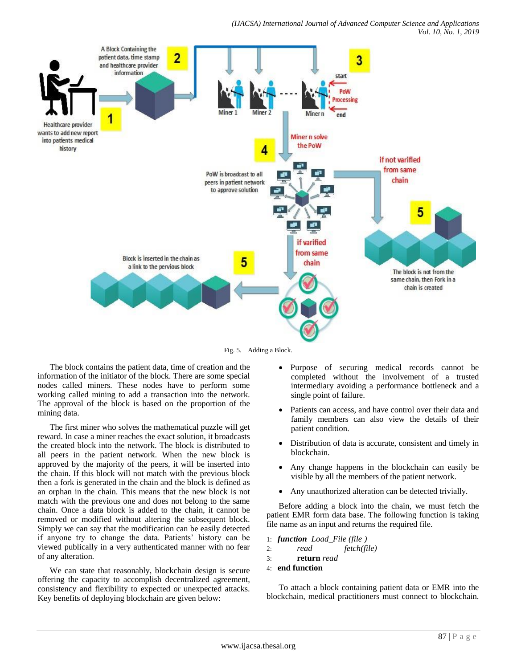#### *(IJACSA) International Journal of Advanced Computer Science and Applications Vol. 10, No. 1, 2019*



Fig. 5. Adding a Block.

The block contains the patient data, time of creation and the information of the initiator of the block. There are some special nodes called miners. These nodes have to perform some working called mining to add a transaction into the network. The approval of the block is based on the proportion of the mining data.

The first miner who solves the mathematical puzzle will get reward. In case a miner reaches the exact solution, it broadcasts the created block into the network. The block is distributed to all peers in the patient network. When the new block is approved by the majority of the peers, it will be inserted into the chain. If this block will not match with the previous block then a fork is generated in the chain and the block is defined as an orphan in the chain. This means that the new block is not match with the previous one and does not belong to the same chain. Once a data block is added to the chain, it cannot be removed or modified without altering the subsequent block. Simply we can say that the modification can be easily detected if anyone try to change the data. Patients' history can be viewed publically in a very authenticated manner with no fear of any alteration.

We can state that reasonably, blockchain design is secure offering the capacity to accomplish decentralized agreement, consistency and flexibility to expected or unexpected attacks. Key benefits of deploying blockchain are given below:

- Purpose of securing medical records cannot be completed without the involvement of a trusted intermediary avoiding a performance bottleneck and a single point of failure.
- Patients can access, and have control over their data and family members can also view the details of their patient condition.
- Distribution of data is accurate, consistent and timely in blockchain.
- Any change happens in the blockchain can easily be visible by all the members of the patient network.
- Any unauthorized alteration can be detected trivially.

Before adding a block into the chain, we must fetch the patient EMR form data base. The following function is taking file name as an input and returns the required file.

```
1: function Load_File (file )
2: read fetch(file) 
3: return read
4: end function
```
To attach a block containing patient data or EMR into the blockchain, medical practitioners must connect to blockchain.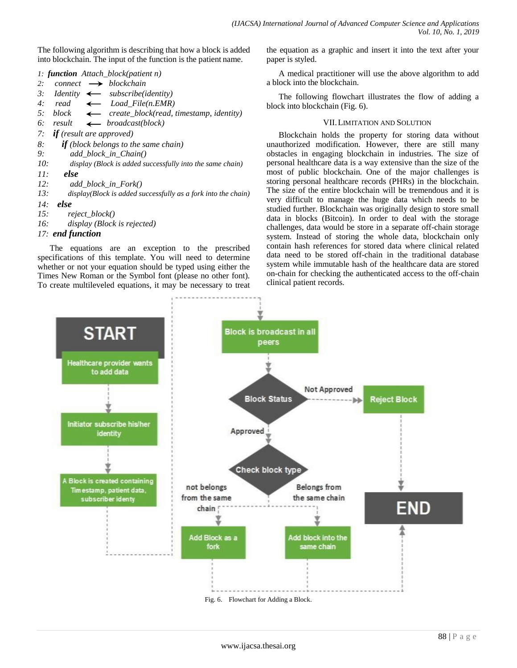The following algorithm is describing that how a block is added into blockchain. The input of the function is the patient name.

*1: function Attach\_block(patient n)*

| 2:<br>connect |  | blockchain |
|---------------|--|------------|
|---------------|--|------------|

- 3: Identity  $\leftarrow$  subscribe(identity)
- 4: read  $\leftarrow$  Load File(n.EMR)
- *5: block*  $\leftarrow$  *create block(read, timestamp, identity)*
- *6: result broadcast(block)*
- *7: if (result are approved)*
- *8: if (block belongs to the same chain)*
- *9: add\_block\_in\_Chain()*
- *10: display (Block is added successfully into the same chain)*
- *11: else*
- *12: add\_block\_in\_Fork()*
- *13: display(Block is added successfully as a fork into the chain)*
- *14: else*
- *15: reject\_block()*
- *16: display (Block is rejected)*

# *17: end function*

The equations are an exception to the prescribed specifications of this template. You will need to determine whether or not your equation should be typed using either the Times New Roman or the Symbol font (please no other font). To create multileveled equations, it may be necessary to treat the equation as a graphic and insert it into the text after your paper is styled.

A medical practitioner will use the above algorithm to add a block into the blockchain.

The following flowchart illustrates the flow of adding a block into blockchain (Fig. 6).

# VII.LIMITATION AND SOLUTION

Blockchain holds the property for storing data without unauthorized modification. However, there are still many obstacles in engaging blockchain in industries. The size of personal healthcare data is a way extensive than the size of the most of public blockchain. One of the major challenges is storing personal healthcare records (PHRs) in the blockchain. The size of the entire blockchain will be tremendous and it is very difficult to manage the huge data which needs to be studied further. Blockchain was originally design to store small data in blocks (Bitcoin). In order to deal with the storage challenges, data would be store in a separate off-chain storage system. Instead of storing the whole data, blockchain only contain hash references for stored data where clinical related data need to be stored off-chain in the traditional database system while immutable hash of the healthcare data are stored on-chain for checking the authenticated access to the off-chain clinical patient records.